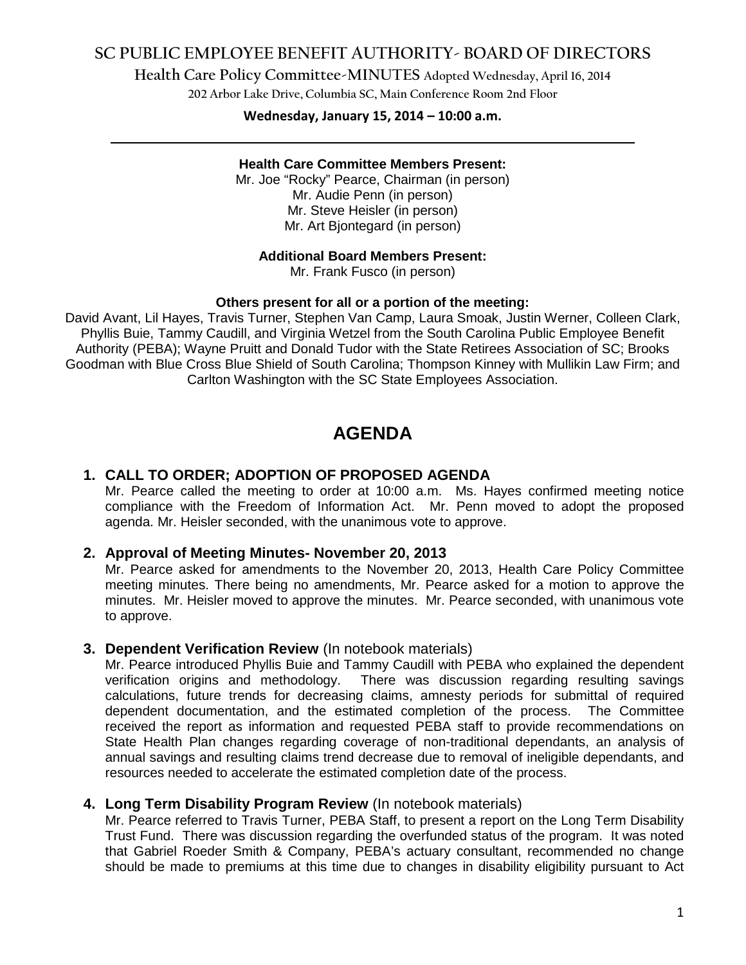## **SC PUBLIC EMPLOYEE BENEFIT AUTHORITY- BOARD OF DIRECTORS**

**Health Care Policy Committee-MINUTES Adopted Wednesday, April 16, 2014**

**202 Arbor Lake Drive, Columbia SC, Main Conference Room 2nd Floor**

## **Wednesday, January 15, 2014 – 10:00 a.m. \_\_\_\_\_\_\_\_\_\_\_\_\_\_\_\_\_\_\_\_\_\_\_\_\_\_\_\_\_\_\_\_\_\_\_\_\_\_\_\_\_\_\_\_\_\_\_\_\_\_\_\_\_\_\_\_\_\_\_\_\_\_\_\_\_\_\_\_\_\_\_\_**

### **Health Care Committee Members Present:**

Mr. Joe "Rocky" Pearce, Chairman (in person) Mr. Audie Penn (in person) Mr. Steve Heisler (in person) Mr. Art Bjontegard (in person)

### **Additional Board Members Present:**

Mr. Frank Fusco (in person)

### **Others present for all or a portion of the meeting:**

David Avant, Lil Hayes, Travis Turner, Stephen Van Camp, Laura Smoak, Justin Werner, Colleen Clark, Phyllis Buie, Tammy Caudill, and Virginia Wetzel from the South Carolina Public Employee Benefit Authority (PEBA); Wayne Pruitt and Donald Tudor with the State Retirees Association of SC; Brooks Goodman with Blue Cross Blue Shield of South Carolina; Thompson Kinney with Mullikin Law Firm; and Carlton Washington with the SC State Employees Association.

# **AGENDA**

### **1. CALL TO ORDER; ADOPTION OF PROPOSED AGENDA**

Mr. Pearce called the meeting to order at 10:00 a.m. Ms. Hayes confirmed meeting notice compliance with the Freedom of Information Act. Mr. Penn moved to adopt the proposed agenda. Mr. Heisler seconded, with the unanimous vote to approve.

### **2. Approval of Meeting Minutes- November 20, 2013**

Mr. Pearce asked for amendments to the November 20, 2013, Health Care Policy Committee meeting minutes. There being no amendments, Mr. Pearce asked for a motion to approve the minutes. Mr. Heisler moved to approve the minutes. Mr. Pearce seconded, with unanimous vote to approve.

### **3. Dependent Verification Review** (In notebook materials)

Mr. Pearce introduced Phyllis Buie and Tammy Caudill with PEBA who explained the dependent verification origins and methodology. There was discussion regarding resulting savings calculations, future trends for decreasing claims, amnesty periods for submittal of required dependent documentation, and the estimated completion of the process. The Committee received the report as information and requested PEBA staff to provide recommendations on State Health Plan changes regarding coverage of non-traditional dependants, an analysis of annual savings and resulting claims trend decrease due to removal of ineligible dependants, and resources needed to accelerate the estimated completion date of the process.

### **4. Long Term Disability Program Review** (In notebook materials)

Mr. Pearce referred to Travis Turner, PEBA Staff, to present a report on the Long Term Disability Trust Fund. There was discussion regarding the overfunded status of the program. It was noted that Gabriel Roeder Smith & Company, PEBA's actuary consultant, recommended no change should be made to premiums at this time due to changes in disability eligibility pursuant to Act